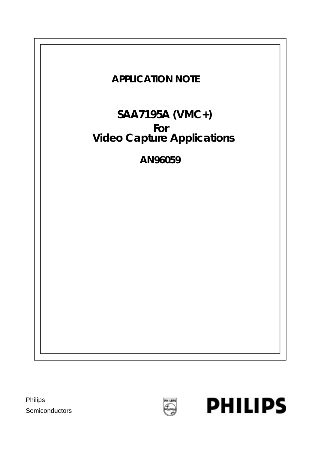

Philips **Semiconductors** 



**PHILIPS**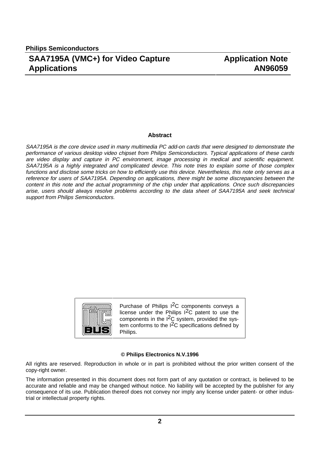#### **Abstract**

SAA7195A is the core device used in many multimedia PC add-on cards that were designed to demonstrate the performance of various desktop video chipset from Philips Semiconductors. Typical applications of these cards are video display and capture in PC environment, image processing in medical and scientific equipment. SAA7195A is a highly integrated and complicated device. This note tries to explain some of those complex functions and disclose some tricks on how to efficiently use this device. Nevertheless, this note only serves as a reference for users of SAA7195A. Depending on applications, there might be some discrepancies between the content in this note and the actual programming of the chip under that applications. Once such discrepancies arise, users should always resolve problems according to the data sheet of SAA7195A and seek technical support from Philips Semiconductors.



Purchase of Philips I2C components conveys a license under the Philips I2C patent to use the components in the  $1^2C$  system, provided the system conforms to the  $1<sup>2</sup>C$  specifications defined by Philips.

#### **© Philips Electronics N.V.1996**

All rights are reserved. Reproduction in whole or in part is prohibited without the prior written consent of the copy-right owner.

The information presented in this document does not form part of any quotation or contract, is believed to be accurate and reliable and may be changed without notice. No liability will be accepted by the publisher for any consequence of its use. Publication thereof does not convey nor imply any license under patent- or other industrial or intellectual property rights.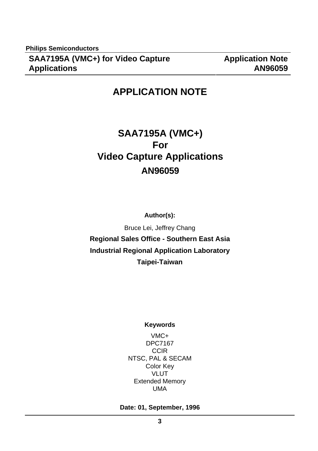# **APPLICATION NOTE**

# **SAA7195A (VMC+) For Video Capture Applications AN96059**

**Author(s):**

Bruce Lei, Jeffrey Chang **Regional Sales Office - Southern East Asia Industrial Regional Application Laboratory Taipei-Taiwan**

#### **Keywords**

VMC+ DPC7167 **CCIR** NTSC, PAL & SECAM Color Key VLUT Extended Memory UMA

#### **Date: 01, September, 1996**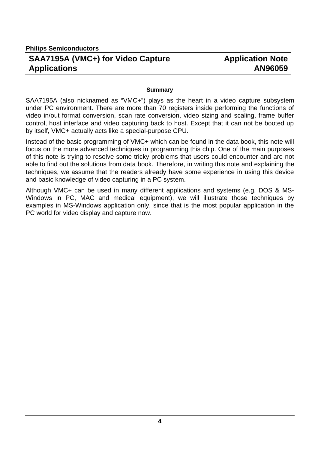## **Application Note AN96059**

#### **Summary**

SAA7195A (also nicknamed as "VMC+") plays as the heart in a video capture subsystem under PC environment. There are more than 70 registers inside performing the functions of video in/out format conversion, scan rate conversion, video sizing and scaling, frame buffer control, host interface and video capturing back to host. Except that it can not be booted up by itself, VMC+ actually acts like a special-purpose CPU.

Instead of the basic programming of VMC+ which can be found in the data book, this note will focus on the more advanced techniques in programming this chip. One of the main purposes of this note is trying to resolve some tricky problems that users could encounter and are not able to find out the solutions from data book. Therefore, in writing this note and explaining the techniques, we assume that the readers already have some experience in using this device and basic knowledge of video capturing in a PC system.

Although VMC+ can be used in many different applications and systems (e.g. DOS & MS-Windows in PC, MAC and medical equipment), we will illustrate those techniques by examples in MS-Windows application only, since that is the most popular application in the PC world for video display and capture now.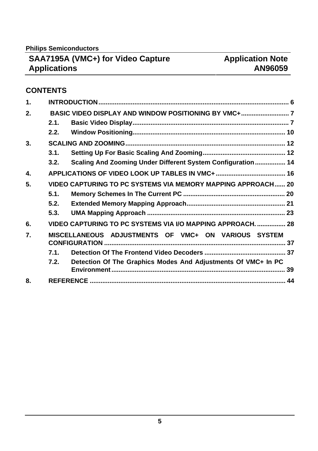**Philips Semiconductors**

# **SAA7195A (VMC+) for Video Capture Applications**

## **CONTENTS**

| 1. |      |                                                               |  |  |  |
|----|------|---------------------------------------------------------------|--|--|--|
| 2. |      |                                                               |  |  |  |
|    | 2.1. |                                                               |  |  |  |
|    | 2.2. |                                                               |  |  |  |
| 3. |      |                                                               |  |  |  |
|    | 3.1. |                                                               |  |  |  |
|    | 3.2. | Scaling And Zooming Under Different System Configuration  14  |  |  |  |
| 4. |      |                                                               |  |  |  |
| 5. |      | VIDEO CAPTURING TO PC SYSTEMS VIA MEMORY MAPPING APPROACH 20  |  |  |  |
|    | 5.1. |                                                               |  |  |  |
|    | 5.2. |                                                               |  |  |  |
|    | 5.3. |                                                               |  |  |  |
| 6. |      | VIDEO CAPTURING TO PC SYSTEMS VIA I/O MAPPING APPROACH.  28   |  |  |  |
| 7. |      | MISCELLANEOUS ADJUSTMENTS OF VMC+ ON VARIOUS SYSTEM           |  |  |  |
|    | 7.1. |                                                               |  |  |  |
|    | 7.2. | Detection Of The Graphics Modes And Adjustments Of VMC+ In PC |  |  |  |
| 8. |      |                                                               |  |  |  |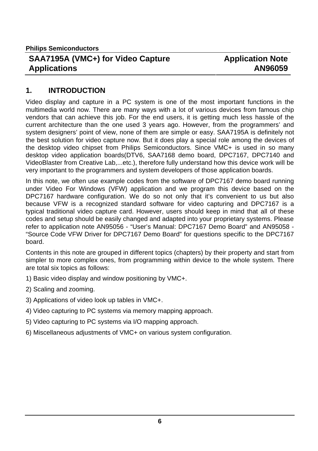### **Application Note AN96059**

#### **1. INTRODUCTION**

Video display and capture in a PC system is one of the most important functions in the multimedia world now. There are many ways with a lot of various devices from famous chip vendors that can achieve this job. For the end users, it is getting much less hassle of the current architecture than the one used 3 years ago. However, from the programmers' and system designers' point of view, none of them are simple or easy. SAA7195A is definitely not the best solution for video capture now. But it does play a special role among the devices of the desktop video chipset from Philips Semiconductors. Since VMC+ is used in so many desktop video application boards(DTV6, SAA7168 demo board, DPC7167, DPC7140 and VideoBlaster from Creative Lab,...etc.), therefore fully understand how this device work will be very important to the programmers and system developers of those application boards.

In this note, we often use example codes from the software of DPC7167 demo board running under Video For Windows (VFW) application and we program this device based on the DPC7167 hardware configuration. We do so not only that it's convenient to us but also because VFW is a recognized standard software for video capturing and DPC7167 is a typical traditional video capture card. However, users should keep in mind that all of these codes and setup should be easily changed and adapted into your proprietary systems. Please refer to application note AN95056 - "User's Manual: DPC7167 Demo Board" and AN95058 - "Source Code VFW Driver for DPC7167 Demo Board" for questions specific to the DPC7167 board.

Contents in this note are grouped in different topics (chapters) by their property and start from simpler to more complex ones, from programming within device to the whole system. There are total six topics as follows:

- 1) Basic video display and window positioning by VMC+.
- 2) Scaling and zooming.
- 3) Applications of video look up tables in VMC+.
- 4) Video capturing to PC systems via memory mapping approach.
- 5) Video capturing to PC systems via I/O mapping approach.
- 6) Miscellaneous adjustments of VMC+ on various system configuration.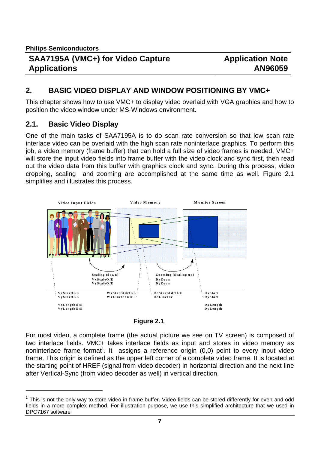#### **2. BASIC VIDEO DISPLAY AND WINDOW POSITIONING BY VMC+**

This chapter shows how to use VMC+ to display video overlaid with VGA graphics and how to position the video window under MS-Windows environment.

#### **2.1. Basic Video Display**

 $\overline{a}$ 

One of the main tasks of SAA7195A is to do scan rate conversion so that low scan rate interlace video can be overlaid with the high scan rate noninterlace graphics. To perform this job, a video memory (frame buffer) that can hold a full size of video frames is needed. VMC+ will store the input video fields into frame buffer with the video clock and sync first, then read out the video data from this buffer with graphics clock and sync. During this process, video cropping, scaling and zooming are accomplished at the same time as well. Figure 2.1 simplifies and illustrates this process.





For most video, a complete frame (the actual picture we see on TV screen) is composed of two interlace fields. VMC+ takes interlace fields as input and stores in video memory as noninterlace frame format<sup>1</sup>. It assigns a reference origin (0,0) point to every input video frame. This origin is defined as the upper left corner of a complete video frame. It is located at the starting point of HREF (signal from video decoder) in horizontal direction and the next line after Vertical-Sync (from video decoder as well) in vertical direction.

 $1$  This is not the only way to store video in frame buffer. Video fields can be stored differently for even and odd fields in a more complex method. For illustration purpose, we use this simplified architecture that we used in DPC7167 software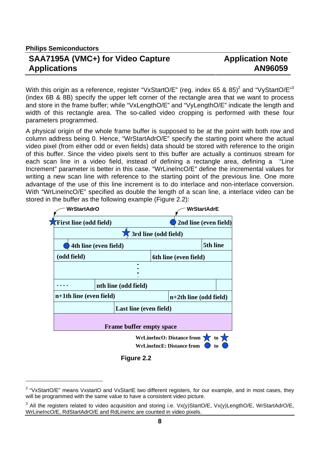**Philips Semiconductors**

 $\overline{a}$ 

#### **SAA7195A (VMC+) for Video Capture Applications**

### **Application Note AN96059**

With this origin as a reference, register "VxStartO/E" (reg. index 65 & 85)<sup>2</sup> and "VyStartO/E"<sup>3</sup> (index 6B & 8B) specify the upper left corner of the rectangle area that we want to process and store in the frame buffer; while "VxLengthO/E" and "VyLengthO/E" indicate the length and width of this rectangle area. The so-called video cropping is performed with these four parameters programmed.

A physical origin of the whole frame buffer is supposed to be at the point with both row and column address being 0. Hence, "WrStartAdrO/E" specify the starting point where the actual video pixel (from either odd or even fields) data should be stored with reference to the origin of this buffer. Since the video pixels sent to this buffer are actually a continuos stream for each scan line in a video field, instead of defining a rectangle area, defining a "Line Increment" parameter is better in this case. "WrLineIncO/E" define the incremental values for writing a new scan line with reference to the starting point of the previous line. One more advantage of the use of this line increment is to do interlace and non-interlace conversion. With "WrLineIncO/E" specified as double the length of a scan line, a interlace video can be stored in the buffer as the following example (Figure 2.2):



 **Figure 2.2**

<sup>&</sup>lt;sup>2</sup> "VxStartO/E" means VxstartO and VxStartE two different registers, for our example, and in most cases, they will be programmed with the same value to have a consistent video picture.

<sup>&</sup>lt;sup>3</sup> All the registers related to video acquisition and storing i.e. Vx(y)StartO/E, Vx(y)LengthO/E, WrStartAdrO/E, WrLineIncO/E, RdStartAdrO/E and RdLineInc are counted in video pixels.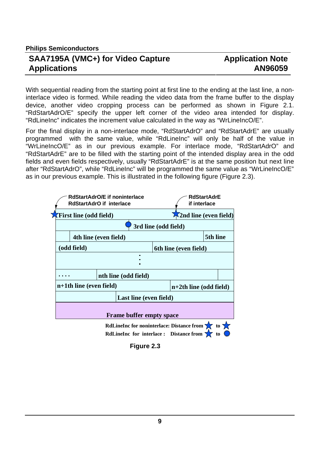### **Application Note AN96059**

With sequential reading from the starting point at first line to the ending at the last line, a noninterlace video is formed. While reading the video data from the frame buffer to the display device, another video cropping process can be performed as shown in Figure 2.1. "RdStartAdrO/E" specify the upper left corner of the video area intended for display. "RdLineInc" indicates the increment value calculated in the way as "WrLineIncO/E".

For the final display in a non-interlace mode, "RdStartAdrO" and "RdStartAdrE" are usually programmed with the same value, while "RdLineInc" will only be half of the value in "WrLineIncO/E" as in our previous example. For interlace mode, "RdStartAdrO" and "RdStartAdrE" are to be filled with the starting point of the intended display area in the odd fields and even fields respectively, usually "RdStartAdrE" is at the same position but next line after "RdStartAdrO", while "RdLineInc" will be programmed the same value as "WrLineIncO/E" as in our previous example. This is illustrated in the following figure (Figure 2.3).

| RdStartAdrO/E if noninterlace<br><b>RdStartAdrO</b> if interlace |                                                                                                      | <b>RdStartAdrE</b><br>if interlace |  |  |  |
|------------------------------------------------------------------|------------------------------------------------------------------------------------------------------|------------------------------------|--|--|--|
| $\sqrt{\text{First line}}$ (odd field)                           |                                                                                                      | $\sqrt{2}$ nd line (even field)    |  |  |  |
|                                                                  | 3rd line (odd field)                                                                                 |                                    |  |  |  |
| 4th line (even field)                                            |                                                                                                      | 5th line                           |  |  |  |
| (odd field)                                                      | 6th line (even field)                                                                                |                                    |  |  |  |
| п                                                                |                                                                                                      |                                    |  |  |  |
| nth line (odd field)                                             |                                                                                                      |                                    |  |  |  |
| $n+1$ th line (even field)                                       | $n+2$ th line (odd field)                                                                            |                                    |  |  |  |
|                                                                  | Last line (even field)                                                                               |                                    |  |  |  |
| <b>Frame buffer empty space</b>                                  |                                                                                                      |                                    |  |  |  |
|                                                                  | RdLineInc for noninterlace: Distance from $\sum$ to $\sum$<br>RdLineInc for interlace: Distance from |                                    |  |  |  |

 **Figure 2.3**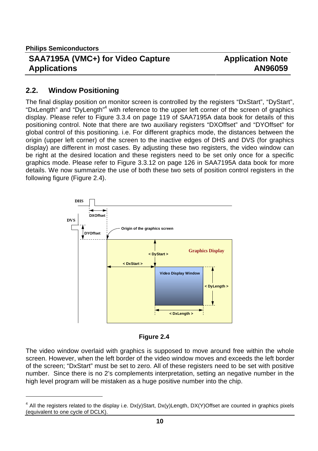$\overline{a}$ 

#### **SAA7195A (VMC+) for Video Capture Applications**

## **Application Note AN96059**

#### **2.2. Window Positioning**

The final display position on monitor screen is controlled by the registers "DxStart", "DyStart", "DxLength" and "DyLength"<sup>4</sup> with reference to the upper left corner of the screen of graphics display. Please refer to Figure 3.3.4 on page 119 of SAA7195A data book for details of this positioning control. Note that there are two auxiliary registers "DXOffset" and "DYOffset" for global control of this positioning. i.e. For different graphics mode, the distances between the origin (upper left corner) of the screen to the inactive edges of DHS and DVS (for graphics display) are different in most cases. By adjusting these two registers, the video window can be right at the desired location and these registers need to be set only once for a specific graphics mode. Please refer to Figure 3.3.12 on page 126 in SAA7195A data book for more details. We now summarize the use of both these two sets of position control registers in the following figure (Figure 2.4).





The video window overlaid with graphics is supposed to move around free within the whole screen. However, when the left border of the video window moves and exceeds the left border of the screen; "DxStart" must be set to zero. All of these registers need to be set with positive number. Since there is no 2's complements interpretation, setting an negative number in the high level program will be mistaken as a huge positive number into the chip.

<sup>4</sup> All the registers related to the display i.e. Dx(y)Start, Dx(y)Length, DX(Y)Offset are counted in graphics pixels (equivalent to one cycle of DCLK).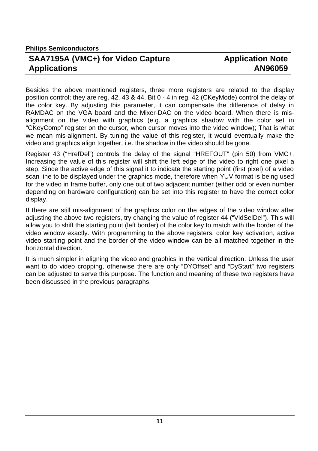### **Application Note AN96059**

Besides the above mentioned registers, three more registers are related to the display position control; they are reg. 42, 43 & 44. Bit 0 - 4 in reg. 42 (CKeyMode) control the delay of the color key. By adjusting this parameter, it can compensate the difference of delay in RAMDAC on the VGA board and the Mixer-DAC on the video board. When there is misalignment on the video with graphics (e.g. a graphics shadow with the color set in "CKeyComp" register on the cursor, when cursor moves into the video window); That is what we mean mis-alignment. By tuning the value of this register, it would eventually make the video and graphics align together, i.e. the shadow in the video should be gone.

Register 43 ("HrefDel") controls the delay of the signal "HREFOUT" (pin 50) from VMC+. Increasing the value of this register will shift the left edge of the video to right one pixel a step. Since the active edge of this signal it to indicate the starting point (first pixel) of a video scan line to be displayed under the graphics mode, therefore when YUV format is being used for the video in frame buffer, only one out of two adjacent number (either odd or even number depending on hardware configuration) can be set into this register to have the correct color display.

If there are still mis-alignment of the graphics color on the edges of the video window after adjusting the above two registers, try changing the value of register 44 ("VidSelDel"). This will allow you to shift the starting point (left border) of the color key to match with the border of the video window exactly. With programming to the above registers, color key activation, active video starting point and the border of the video window can be all matched together in the horizontal direction.

It is much simpler in aligning the video and graphics in the vertical direction. Unless the user want to do video cropping, otherwise there are only "DYOffset" and "DyStart" two registers can be adjusted to serve this purpose. The function and meaning of these two registers have been discussed in the previous paragraphs.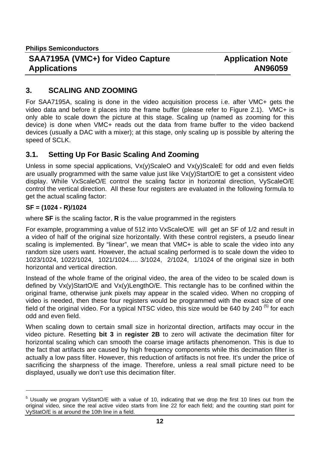## **Application Note AN96059**

#### **3. SCALING AND ZOOMING**

For SAA7195A, scaling is done in the video acquisition process i.e. after VMC+ gets the video data and before it places into the frame buffer (please refer to Figure 2.1). VMC+ is only able to scale down the picture at this stage. Scaling up (named as zooming for this device) is done when VMC+ reads out the data from frame buffer to the video backend devices (usually a DAC with a mixer); at this stage, only scaling up is possible by altering the speed of SCLK.

#### **3.1. Setting Up For Basic Scaling And Zooming**

Unless in some special applications,  $Vx(y)$ ScaleO and  $Vx(y)$ ScaleE for odd and even fields are usually programmed with the same value just like  $Vx(y)$ StartO/E to get a consistent video display. While VxScaleO/E control the scaling factor in horizontal direction, VyScaleO/E control the vertical direction. All these four registers are evaluated in the following formula to get the actual scaling factor:

#### **SF = (1024 - R)/1024**

 $\overline{a}$ 

where **SF** is the scaling factor, **R** is the value programmed in the registers

For example, programming a value of 512 into VxScaleO/E will get an SF of 1/2 and result in a video of half of the original size horizontally. With these control registers, a pseudo linear scaling is implemented. By "linear", we mean that VMC+ is able to scale the video into any random size users want. However, the actual scaling performed is to scale down the video to 1023/1024, 1022/1024, 1021/1024..... 3/1024, 2/1024, 1/1024 of the original size in both horizontal and vertical direction.

Instead of the whole frame of the original video, the area of the video to be scaled down is defined by Vx(y)StartO/E and Vx(y)LengthO/E. This rectangle has to be confined within the original frame, otherwise junk pixels may appear in the scaled video. When no cropping of video is needed, then these four registers would be programmed with the exact size of one field of the original video. For a typical NTSC video, this size would be 640 by 240  $<sup>(5)</sup>$  for each</sup> odd and even field.

When scaling down to certain small size in horizontal direction, artifacts may occur in the video picture. Resetting **bit 3** in **register 2B** to zero will activate the decimation filter for horizontal scaling which can smooth the coarse image artifacts phenomenon. This is due to the fact that artifacts are caused by high frequency components while this decimation filter is actually a low pass filter. However, this reduction of artifacts is not free. It's under the price of sacrificing the sharpness of the image. Therefore, unless a real small picture need to be displayed, usually we don't use this decimation filter.

<sup>&</sup>lt;sup>5</sup> Usually we program VyStartO/E with a value of 10, indicating that we drop the first 10 lines out from the original video, since the real active video starts from line 22 for each field; and the counting start point for VyStatO/E is at around the 10th line in a field.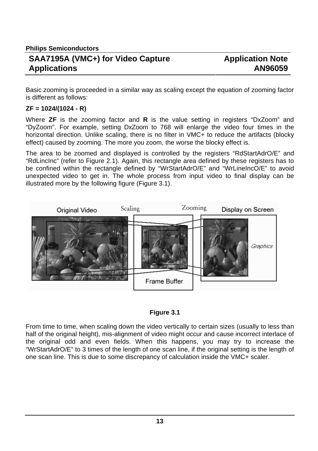Basic zooming is proceeded in a similar way as scaling except the equation of zooming factor is different as follows:

#### **ZF = 1024/(1024 - R)**

Where **ZF** is the zooming factor and **R** is the value setting in registers "DxZoom" and "DyZoom". For example, setting DxZoom to 768 will enlarge the video four times in the horizontal direction. Unlike scaling, there is no filter in VMC+ to reduce the artifacts (blocky effect) caused by zooming. The more you zoom, the worse the blocky effect is.

The area to be zoomed and displayed is controlled by the registers "RdStartAdrO/E" and "RdLincInc" (refer to Figure 2.1). Again, this rectangle area defined by these registers has to be confined within the rectangle defined by "WrStartAdrO/E" and "WrLineIncO/E" to avoid unexpected video to get in. The whole process from input video to final display can be illustrated more by the following figure (Figure 3.1).



#### **Figure 3.1**

From time to time, when scaling down the video vertically to certain sizes (usually to less than half of the original height), mis-alignment of video might occur and cause incorrect interlace of the original odd and even fields. When this happens, you may try to increase the "WrStartAdrO/E" to 3 times of the length of one scan line, if the original setting is the length of one scan line. This is due to some discrepancy of calculation inside the VMC+ scaler.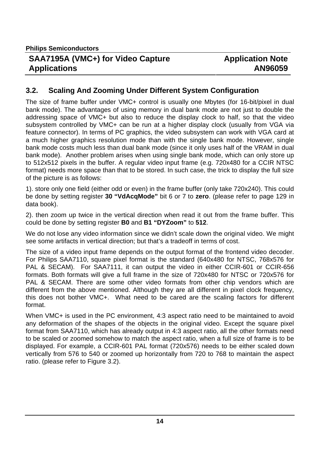#### **3.2. Scaling And Zooming Under Different System Configuration**

The size of frame buffer under VMC+ control is usually one Mbytes (for 16-bit/pixel in dual bank mode). The advantages of using memory in dual bank mode are not just to double the addressing space of VMC+ but also to reduce the display clock to half, so that the video subsystem controlled by VMC+ can be run at a higher display clock (usually from VGA via feature connector). In terms of PC graphics, the video subsystem can work with VGA card at a much higher graphics resolution mode than with the single bank mode. However, single bank mode costs much less than dual bank mode (since it only uses half of the VRAM in dual bank mode). Another problem arises when using single bank mode, which can only store up to 512x512 pixels in the buffer. A regular video input frame (e.g. 720x480 for a CCIR NTSC format) needs more space than that to be stored. In such case, the trick to display the full size of the picture is as follows:

1). store only one field (either odd or even) in the frame buffer (only take 720x240). This could be done by setting register **30 "VdAcqMode"** bit 6 or 7 to **zero**. (please refer to page 129 in data book).

2). then zoom up twice in the vertical direction when read it out from the frame buffer. This could be done by setting register **B0** and **B1 "DYZoom"** to **512**.

We do not lose any video information since we didn't scale down the original video. We might see some artifacts in vertical direction; but that's a tradeoff in terms of cost.

The size of a video input frame depends on the output format of the frontend video decoder. For Philips SAA7110, square pixel format is the standard (640x480 for NTSC, 768x576 for PAL & SECAM). For SAA7111, it can output the video in either CCIR-601 or CCIR-656 formats. Both formats will give a full frame in the size of 720x480 for NTSC or 720x576 for PAL & SECAM. There are some other video formats from other chip vendors which are different from the above mentioned. Although they are all different in pixel clock frequency, this does not bother VMC+. What need to be cared are the scaling factors for different format.

When VMC+ is used in the PC environment, 4:3 aspect ratio need to be maintained to avoid any deformation of the shapes of the objects in the original video. Except the square pixel format from SAA7110, which has already output in 4:3 aspect ratio, all the other formats need to be scaled or zoomed somehow to match the aspect ratio, when a full size of frame is to be displayed. For example, a CCIR-601 PAL format (720x576) needs to be either scaled down vertically from 576 to 540 or zoomed up horizontally from 720 to 768 to maintain the aspect ratio. (please refer to Figure 3.2).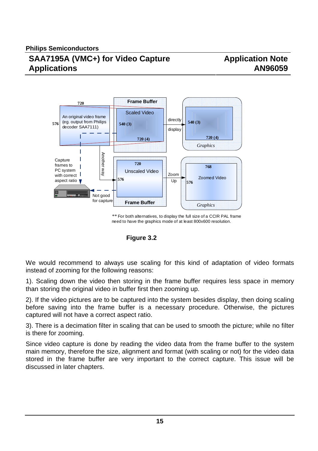

*\*\** For both alternatives, to display the full size of a CCIR PAL frame need to have the graphics mode of at least 800x600 resolution.

#### **Figure 3.2**

We would recommend to always use scaling for this kind of adaptation of video formats instead of zooming for the following reasons:

1). Scaling down the video then storing in the frame buffer requires less space in memory than storing the original video in buffer first then zooming up.

2). If the video pictures are to be captured into the system besides display, then doing scaling before saving into the frame buffer is a necessary procedure. Otherwise, the pictures captured will not have a correct aspect ratio.

3). There is a decimation filter in scaling that can be used to smooth the picture; while no filter is there for zooming.

Since video capture is done by reading the video data from the frame buffer to the system main memory, therefore the size, alignment and format (with scaling or not) for the video data stored in the frame buffer are very important to the correct capture. This issue will be discussed in later chapters.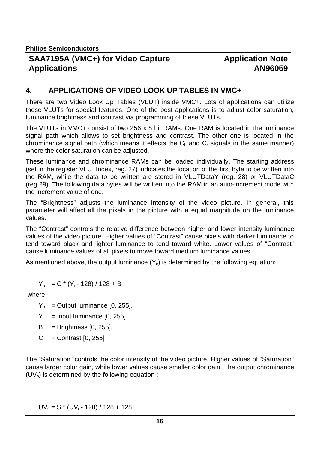**Philips Semiconductors**

#### **SAA7195A (VMC+) for Video Capture Applications**

#### **4. APPLICATIONS OF VIDEO LOOK UP TABLES IN VMC+**

There are two Video Look Up Tables (VLUT) inside VMC+. Lots of applications can utilize these VLUTs for special features. One of the best applications is to adjust color saturation, luminance brightness and contrast via programming of these VLUTs.

The VLUTs in VMC+ consist of two 256 x 8 bit RAMs. One RAM is located in the luminance signal path which allows to set brightness and contrast. The other one is located in the chrominance signal path (which means it effects the  $C_b$  and  $C_r$  signals in the same manner) where the color saturation can be adjusted.

These luminance and chrominance RAMs can be loaded individually. The starting address (set in the register VLUTIndex, reg. 27) indicates the location of the first byte to be written into the RAM, while the data to be written are stored in VLUTDataY (reg. 28) or VLUTDataC (reg.29). The following data bytes will be written into the RAM in an auto-increment mode with the increment value of one.

The "Brightness" adjusts the luminance intensity of the video picture. In general, this parameter will affect all the pixels in the picture with a equal magnitude on the luminance values.

The "Contrast" controls the relative difference between higher and lower intensity luminance values of the video picture. Higher values of "Contrast" cause pixels with darker luminance to tend toward black and lighter luminance to tend toward white. Lower values of "Contrast" cause luminance values of all pixels to move toward medium luminance values.

As mentioned above, the output luminance  $(Y_0)$  is determined by the following equation:

 $Y_0 = C * (Y_i - 128) / 128 + B$ 

where

 $Y_0$  = Output luminance [0, 255],

- $Y_i$  = Input luminance [0, 255],
- $B =$  Brightness  $[0, 255]$ ,
- $C =$  Contrast  $[0, 255]$

The "Saturation" controls the color intensity of the video picture. Higher values of "Saturation" cause larger color gain, while lower values cause smaller color gain. The output chrominance  $(UV<sub>o</sub>)$  is determined by the following equation :

 $UV<sub>0</sub> = S$  \* (UV<sub>i</sub> - 128) / 128 + 128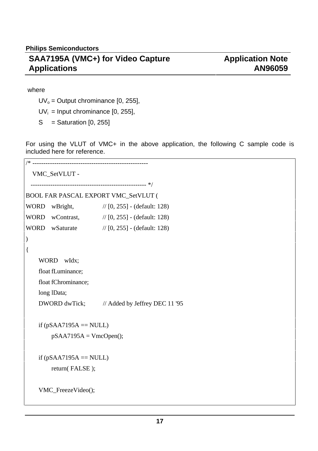# **Application Note AN96059**

#### where

 $UV<sub>o</sub> = Output chrominance [0, 255],$ 

 $UV_i$  = Input chrominance [0, 255],

 $S =$  Saturation [0, 255]

For using the VLUT of VMC+ in the above application, the following C sample code is included here for reference.

```
/* <sub>-------------------</sub>
   VMC_SetVLUT -
  ----------------------------------------------------- */
BOOL FAR PASCAL EXPORT VMC_SetVLUT (
WORD wBright, // [0, 255] - (default: 128)
WORD wContrast, // [0, 255] - (default: 128)
WORD wSaturate // [0, 255] - (default: 128)
)
{
    WORD wIdx;
    float fLuminance;
    float fChrominance;
    long lData;
    DWORD dwTick; // Added by Jeffrey DEC 11 '95
    if (pSAA7195A == NULL)pSAA7195A = VmcOpen();if (pSAA7195A = NULL)return( FALSE );
    VMC_FreezeVideo();
```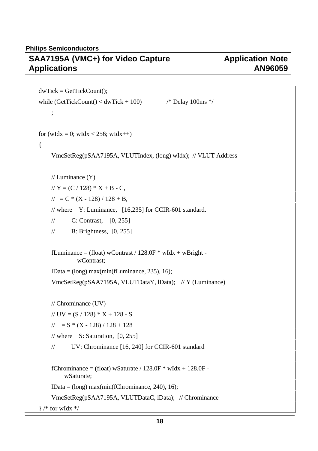**Philips Semiconductors**

# **SAA7195A (VMC+) for Video Capture Applications**

# **Application Note AN96059**

```
dwTick = GetTickCount();while (GetTickCount() \langle dwTick + 100) \qquad /* Delay 100ms */
    ;
for (wIdx = 0; wIdx < 256; wIdx + +)
{
    VmcSetReg(pSAA7195A, VLUTIndex, (long) wIdx); // VLUT Address
    // Luminance (Y)
    // Y = (C / 128) * X + B - C,
    //\!\!/ = C * (X - 128)/128 + B,
    // where Y: Luminance, [16,235] for CCIR-601 standard.
    // C: Contrast, [0, 255]
    // B: Brightness, [0, 255]
    fLuminance = (float) wContrast / 128.0F * wIdx + wBright -
              wContrast;
    lData = (long) max(min(fLuminance, 235), 16);
    VmcSetReg(pSAA7195A, VLUTDataY, lData); // Y (Luminance)
    // Chrominance (UV)
    // UV = (S / 128) * X + 128 - S\frac{1}{2} = S * (X - 128) / 128 + 128
    // where S: Saturation, [0, 255]// UV: Chrominance [16, 240] for CCIR-601 standard
    fChrominance = (float) wSaturate / 128.0F * wIdx + 128.0F -
         wSaturate;
    lData = (long) max(min(fChrominance, 240), 16);
    VmcSetReg(pSAA7195A, VLUTDataC, lData); // Chrominance
\frac{1}{*} for wIdx \frac{*}{*}
```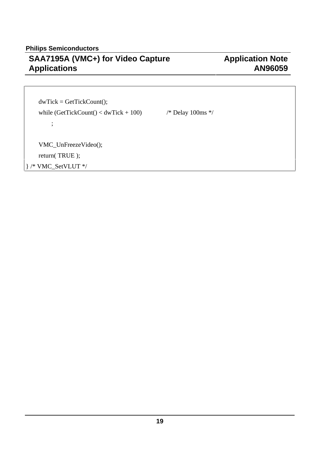# **Application Note AN96059**

 $dwTick = GetTickCount();$ while  $(GetTickCount() < dwTick + 100)$  /\* Delay 100ms \*/ ;

VMC\_UnFreezeVideo();

return( TRUE );

} /\* VMC\_SetVLUT \*/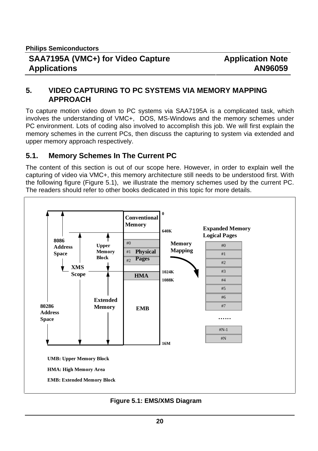#### **5. VIDEO CAPTURING TO PC SYSTEMS VIA MEMORY MAPPING APPROACH**

To capture motion video down to PC systems via SAA7195A is a complicated task, which involves the understanding of VMC+, DOS, MS-Windows and the memory schemes under PC environment. Lots of coding also involved to accomplish this job. We will first explain the memory schemes in the current PCs, then discuss the capturing to system via extended and upper memory approach respectively.

#### **5.1. Memory Schemes In The Current PC**

The content of this section is out of our scope here. However, in order to explain well the capturing of video via VMC+, this memory architecture still needs to be understood first. With the following figure (Figure 5.1), we illustrate the memory schemes used by the current PC. The readers should refer to other books dedicated in this topic for more details.



 **Figure 5.1: EMS/XMS Diagram**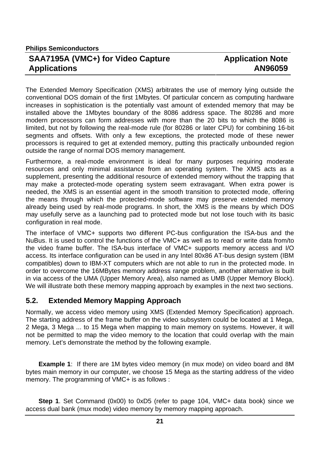The Extended Memory Specification (XMS) arbitrates the use of memory lying outside the conventional DOS domain of the first 1Mbytes. Of particular concern as computing hardware increases in sophistication is the potentially vast amount of extended memory that may be installed above the 1Mbytes boundary of the 8086 address space. The 80286 and more modern processors can form addresses with more than the 20 bits to which the 8086 is limited, but not by following the real-mode rule (for 80286 or later CPU) for combining 16-bit segments and offsets. With only a few exceptions, the protected mode of these newer processors is required to get at extended memory, putting this practically unbounded region outside the range of normal DOS memory management.

Furthermore, a real-mode environment is ideal for many purposes requiring moderate resources and only minimal assistance from an operating system. The XMS acts as a supplement, presenting the additional resource of extended memory without the trapping that may make a protected-mode operating system seem extravagant. When extra power is needed, the XMS is an essential agent in the smooth transition to protected mode, offering the means through which the protected-mode software may preserve extended memory already being used by real-mode programs. In short, the XMS is the means by which DOS may usefully serve as a launching pad to protected mode but not lose touch with its basic configuration in real mode.

The interface of VMC+ supports two different PC-bus configuration the ISA-bus and the NuBus. It is used to control the functions of the VMC+ as well as to read or write data from/to the video frame buffer. The ISA-bus interface of VMC+ supports memory access and I/O access. Its interface configuration can be used in any Intel 80x86 AT-bus design system (IBM compatibles) down to IBM-XT computers which are not able to run in the protected mode. In order to overcome the 16MBytes memory address range problem, another alternative is built in via access of the UMA (Upper Memory Area), also named as UMB (Upper Memory Block). We will illustrate both these memory mapping approach by examples in the next two sections.

#### **5.2. Extended Memory Mapping Approach**

Normally, we access video memory using XMS (Extended Memory Specification) approach. The starting address of the frame buffer on the video subsystem could be located at 1 Mega, 2 Mega, 3 Mega ... to 15 Mega when mapping to main memory on systems. However, it will not be permitted to map the video memory to the location that could overlap with the main memory. Let's demonstrate the method by the following example.

**Example 1**: If there are 1M bytes video memory (in mux mode) on video board and 8M bytes main memory in our computer, we choose 15 Mega as the starting address of the video memory. The programming of VMC+ is as follows :

**Step 1**. Set Command (0x00) to 0xD5 (refer to page 104, VMC+ data book) since we access dual bank (mux mode) video memory by memory mapping approach.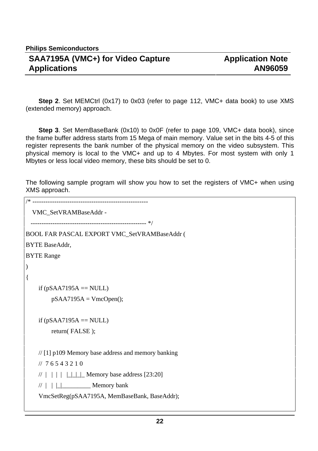**Step 2**. Set MEMCtrl (0x17) to 0x03 (refer to page 112, VMC+ data book) to use XMS (extended memory) approach.

**Step 3**. Set MemBaseBank (0x10) to 0x0F (refer to page 109, VMC+ data book), since the frame buffer address starts from 15 Mega of main memory. Value set in the bits 4-5 of this register represents the bank number of the physical memory on the video subsystem. This physical memory is local to the VMC+ and up to 4 Mbytes. For most system with only 1 Mbytes or less local video memory, these bits should be set to 0.

The following sample program will show you how to set the registers of VMC+ when using XMS approach.

```
/* -----------------------------------------------------
   VMC_SetVRAMBaseAddr -
        ----------------------------------------------------- */
BOOL FAR PASCAL EXPORT VMC_SetVRAMBaseAddr (
BYTE BaseAddr,
BYTE Range
)
{
    if (pSAA7195A = NULL)pSAA7195A = VmcOpen();if (pSAA7195A == NULL)return( FALSE );
    // [1] p109 Memory base address and memory banking
    // 7 6 5 4 3 2 1 0
    / \mid | \mid | \mid | \_ | | | | | | | | | Memory base address [23:20]
    // | | |_|_________ Memory bank
    VmcSetReg(pSAA7195A, MemBaseBank, BaseAddr);
```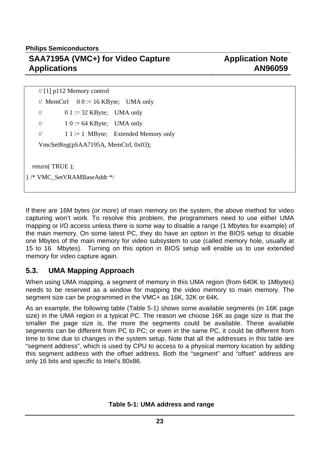**Philips Semiconductors**

## **SAA7195A (VMC+) for Video Capture Applications**

// [1] p112 Memory control // MemCtrl  $0 0 := 16$  KByte; UMA only //  $0 1 := 32$  KByte; UMA only  $\frac{1}{10}$  := 64 KByte; UMA only  $// \t11 := 1 \tMByte$ ; Extended Memory only VmcSetReg(pSAA7195A, MemCtrl, 0x03); return( TRUE ); } /\* VMC\_SetVRAMBaseAddr \*/

If there are 16M bytes (or more) of main memory on the system, the above method for video capturing won't work. To resolve this problem, the programmers need to use either UMA mapping or I/O access unless there is some way to disable a range (1 Mbytes for example) of the main memory. On some latest PC, they do have an option in the BIOS setup to disable one Mbytes of the main memory for video subsystem to use (called memory hole, usually at 15 to 16 Mbytes). Turning on this option in BIOS setup will enable us to use extended memory for video capture again.

## **5.3. UMA Mapping Approach**

When using UMA mapping, a segment of memory in this UMA region (from 640K to 1Mbytes) needs to be reserved as a window for mapping the video memory to main memory. The segment size can be programmed in the VMC+ as 16K, 32K or 64K.

As an example, the following table (Table 5-1) shows some available segments (in 16K page size) in the UMA region in a typical PC. The reason we choose 16K as page size is that the smaller the page size is, the more the segments could be available. These available segments can be different from PC to PC; or even in the same PC, it could be different from time to time due to changes in the system setup. Note that all the addresses in this table are "segment address", which is used by CPU to access to a physical memory location by adding this segment address with the offset address. Both the "segment" and "offset" address are only 16 bits and specific to Intel's 80x86.

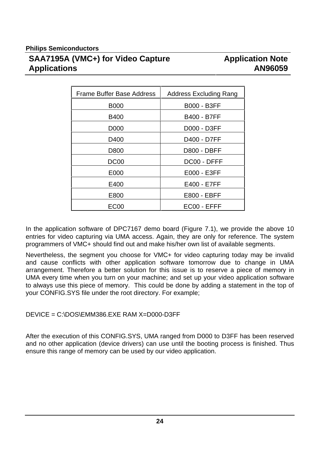| <b>Frame Buffer Base Address</b> | <b>Address Excluding Rang</b> |
|----------------------------------|-------------------------------|
| <b>B000</b>                      | <b>B000 - B3FF</b>            |
| <b>B400</b>                      | <b>B400 - B7FF</b>            |
| D000                             | D000 - D3FF                   |
| D400                             | D400 - D7FF                   |
| D800                             | <b>D800 - DBFF</b>            |
| DC <sub>00</sub>                 | DC00 - DFFF                   |
| E000                             | E000 - E3FF                   |
| E400                             | E400 - E7FF                   |
| E800                             | <b>E800 - EBFF</b>            |
| EC00                             | EC00 - EFFF                   |

In the application software of DPC7167 demo board (Figure 7.1), we provide the above 10 entries for video capturing via UMA access. Again, they are only for reference. The system programmers of VMC+ should find out and make his/her own list of available segments.

Nevertheless, the segment you choose for VMC+ for video capturing today may be invalid and cause conflicts with other application software tomorrow due to change in UMA arrangement. Therefore a better solution for this issue is to reserve a piece of memory in UMA every time when you turn on your machine; and set up your video application software to always use this piece of memory. This could be done by adding a statement in the top of your CONFIG.SYS file under the root directory. For example;

#### DEVICE = C:\DOS\EMM386.EXE RAM X=D000-D3FF

After the execution of this CONFIG.SYS, UMA ranged from D000 to D3FF has been reserved and no other application (device drivers) can use until the booting process is finished. Thus ensure this range of memory can be used by our video application.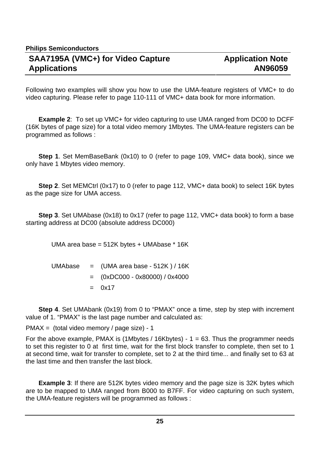Following two examples will show you how to use the UMA-feature registers of VMC+ to do video capturing. Please refer to page 110-111 of VMC+ data book for more information.

**Example 2**: To set up VMC+ for video capturing to use UMA ranged from DC00 to DCFF (16K bytes of page size) for a total video memory 1Mbytes. The UMA-feature registers can be programmed as follows :

**Step 1**. Set MemBaseBank (0x10) to 0 (refer to page 109, VMC+ data book), since we only have 1 Mbytes video memory.

**Step 2**. Set MEMCtrl (0x17) to 0 (refer to page 112, VMC+ data book) to select 16K bytes as the page size for UMA access.

**Step 3**. Set UMAbase (0x18) to 0x17 (refer to page 112, VMC+ data book) to form a base starting address at DC00 (absolute address DC000)

UMA area base = 512K bytes + UMAbase \* 16K

|  | UMAbase $=$ (UMA area base - 512K) / 16K |
|--|------------------------------------------|
|  | $=$ (0xDC000 - 0x80000) / 0x4000         |
|  | $= 0x17$                                 |

**Step 4.** Set UMAbank (0x19) from 0 to "PMAX" once a time, step by step with increment value of 1. "PMAX" is the last page number and calculated as:

PMAX = (total video memory / page size) - 1

For the above example, PMAX is (1Mbytes / 16Kbytes) -  $1 = 63$ . Thus the programmer needs to set this register to 0 at first time, wait for the first block transfer to complete, then set to 1 at second time, wait for transfer to complete, set to 2 at the third time... and finally set to 63 at the last time and then transfer the last block.

**Example 3:** If there are 512K bytes video memory and the page size is 32K bytes which are to be mapped to UMA ranged from B000 to B7FF. For video capturing on such system, the UMA-feature registers will be programmed as follows :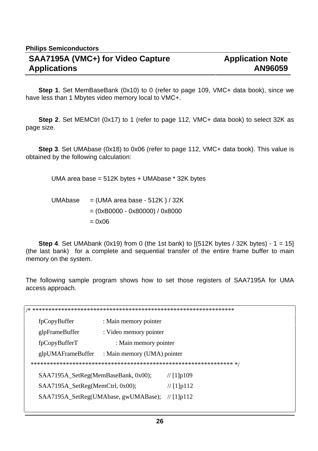**Step 1**. Set MemBaseBank (0x10) to 0 (refer to page 109, VMC+ data book), since we have less than 1 Mbytes video memory local to VMC+.

**Step 2**. Set MEMCtrl (0x17) to 1 (refer to page 112, VMC+ data book) to select 32K as page size.

**Step 3**. Set UMAbase (0x18) to 0x06 (refer to page 112, VMC+ data book). This value is obtained by the following calculation:

UMA area base = 512K bytes + UMAbase \* 32K bytes

UMAbase  $=$  (UMA area base - 512K ) / 32K = (0xB0000 - 0x80000) / 0x8000  $= 0x06$ 

**Step 4.** Set UMAbank (0x19) from 0 (the 1st bank) to  $(512K$  bytes / 32K bytes) - 1 = 15] (the last bank) for a complete and sequential transfer of the entire frame buffer to main memory on the system.

The following sample program shows how to set those registers of SAA7195A for UMA access approach.

/\* \*\*\*\*\*\*\*\*\*\*\*\*\*\*\*\*\*\*\*\*\*\*\*\*\*\*\*\*\*\*\*\*\*\*\*\*\*\*\*\*\*\*\*\*\*\*\*\*\*\*\*\*\*\*\*\*\*\*\*\*\*\*\* fpCopyBuffer : Main memory pointer glpFrameBuffer : Video memory pointer fpCopyBufferT : Main memory pointer glpUMAFrameBuffer : Main memory (UMA) pointer \*\*\*\*\*\*\*\*\*\*\*\*\*\*\*\*\*\*\*\*\*\*\*\*\*\*\*\*\*\*\*\*\*\*\*\*\*\*\*\*\*\*\*\*\*\*\*\*\*\*\*\*\*\*\*\*\*\*\*\*\*\*\* \*/  $SAA7195A$ <sub>\_</sub>SetReg(MemBaseBank, 0x00); // [1]p109 SAA7195A\_SetReg(MemCtrl, 0x00);  $\frac{1}{1}$  | [1]p112 SAA7195A\_SetReg(UMAbase, gwUMABase); // [1]p112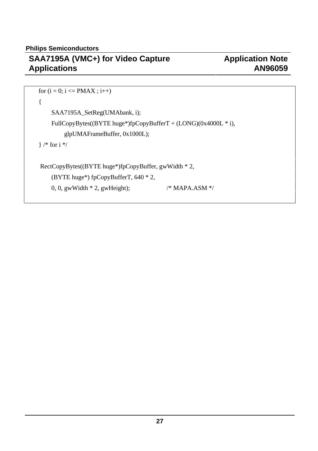```
for (i = 0; i \leq PMAX ; i++){
    SAA7195A_SetReg(UMAbank, i);
    FullCopyBytes((BYTE huge*)fpCopyBufferT + (LONG)(0x4000L * i),
        glpUMAFrameBuffer, 0x1000L);
} /* for i */
 RectCopyBytes((BYTE huge*)fpCopyBuffer, gwWidth * 2,
    (BYTE huge*) fpCopyBufferT, 640 * 2,
    0, 0, gwWidth * 2, gwHeight); /* MAPA.ASM */
```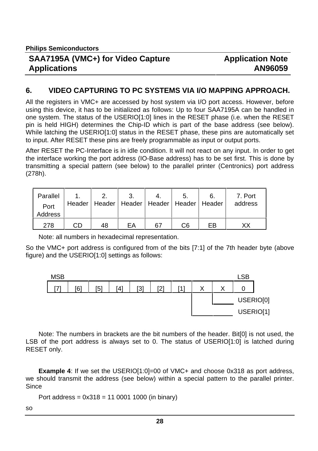## **Application Note AN96059**

#### **6. VIDEO CAPTURING TO PC SYSTEMS VIA I/O MAPPING APPROACH.**

All the registers in VMC+ are accessed by host system via I/O port access. However, before using this device, it has to be initialized as follows: Up to four SAA7195A can be handled in one system. The status of the USERIO[1:0] lines in the RESET phase (i.e. when the RESET pin is held HIGH) determines the Chip-ID which is part of the base address (see below). While latching the USERIO[1:0] status in the RESET phase, these pins are automatically set to input. After RESET these pins are freely programmable as input or output ports.

After RESET the PC-Interface is in idle condition. It will not react on any input. In order to get the interface working the port address (IO-Base address) has to be set first. This is done by transmitting a special pattern (see below) to the parallel printer (Centronics) port address (278h).

| Parallel               |    |    |    |    | 5.                                                  |    | 7. Port |
|------------------------|----|----|----|----|-----------------------------------------------------|----|---------|
| Port<br><b>Address</b> |    |    |    |    | Header   Header   Header   Header   Header   Header |    | address |
|                        |    |    |    |    |                                                     |    |         |
| 278                    | CD | 48 | FA | 67 | C6                                                  | FR |         |

Note: all numbers in hexadecimal representation.

So the VMC+ port address is configured from of the bits [7:1] of the 7th header byte (above figure) and the USERIO[1:0] settings as follows:



Note: The numbers in brackets are the bit numbers of the header. Bit[0] is not used, the LSB of the port address is always set to 0. The status of USERIO[1:0] is latched during RESET only.

**Example 4:** If we set the USERIO[1:0]=00 of VMC+ and choose 0x318 as port address, we should transmit the address (see below) within a special pattern to the parallel printer. **Since** 

```
Port address = 0x318 = 1100011000 (in binary)
```
so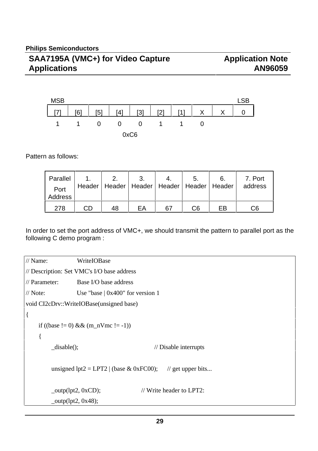

Pattern as follows:

| Parallel        |    | 2.                                                  | 3. |    | 5. | 6. | 7. Port |
|-----------------|----|-----------------------------------------------------|----|----|----|----|---------|
| Port<br>Address |    | Header   Header   Header   Header   Header   Header |    |    |    |    | address |
| 278             | CD | 48                                                  | FΑ | 67 | С6 | FB | C6      |

In order to set the port address of VMC+, we should transmit the pattern to parallel port as the following C demo program :

// Name: WriteIOBase // Description: Set VMC's I/O base address // Parameter: Base I/O base address // Note: Use "base  $| 0x400$ " for version 1 void CI2cDrv::WriteIOBase(unsigned base) { if ((base != 0) && (m\_nVmc != -1)) { disable();  $\frac{1}{2}$  // Disable interrupts unsigned lpt2 = LPT2 | (base & 0xFC00); // get upper bits... \_outp(lpt2, 0xCD); // Write header to LPT2:  $_{\text{output2, 0x48}}$ ;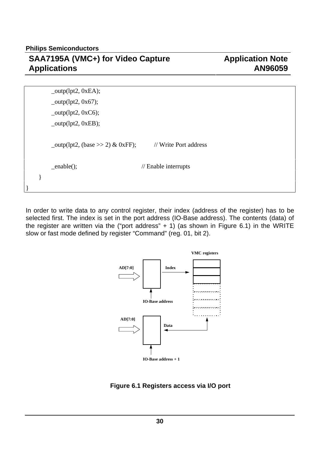**Philips Semiconductors**

## **SAA7195A (VMC+) for Video Capture Applications**

## **Application Note AN96059**

|  | $_{\text{output2, 0xEA}}$ ;                |                                 |  |
|--|--------------------------------------------|---------------------------------|--|
|  | $_$ outp(lpt2, 0x67);                      |                                 |  |
|  | $_$ -outp(lpt2, 0xC6);                     |                                 |  |
|  | $_$ outp(lpt2, 0xEB);                      |                                 |  |
|  |                                            |                                 |  |
|  | $_{\text{output2, (base > > 2) \& 0xFF);}$ | // Write Port address           |  |
|  |                                            |                                 |  |
|  | $=$ enable $($ );                          | $\frac{1}{2}$ Enable interrupts |  |
|  |                                            |                                 |  |
|  |                                            |                                 |  |

In order to write data to any control register, their index (address of the register) has to be selected first. The index is set in the port address (IO-Base address). The contents (data) of the register are written via the ("port address"  $+ 1$ ) (as shown in Figure 6.1) in the WRITE slow or fast mode defined by register "Command" (reg. 01, bit 2).



 **Figure 6.1 Registers access via I/O port**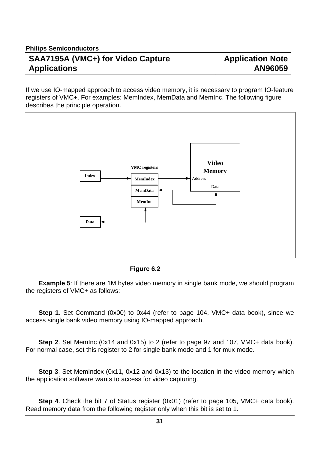If we use IO-mapped approach to access video memory, it is necessary to program IO-feature registers of VMC+. For examples: MemIndex, MemData and MemInc. The following figure describes the principle operation.



 **Figure 6.2**

**Example 5**: If there are 1M bytes video memory in single bank mode, we should program the registers of VMC+ as follows:

**Step 1**. Set Command (0x00) to 0x44 (refer to page 104, VMC+ data book), since we access single bank video memory using IO-mapped approach.

**Step 2**. Set MemInc (0x14 and 0x15) to 2 (refer to page 97 and 107, VMC+ data book). For normal case, set this register to 2 for single bank mode and 1 for mux mode.

**Step 3**. Set MemIndex (0x11, 0x12 and 0x13) to the location in the video memory which the application software wants to access for video capturing.

**Step 4**. Check the bit 7 of Status register (0x01) (refer to page 105, VMC+ data book). Read memory data from the following register only when this bit is set to 1.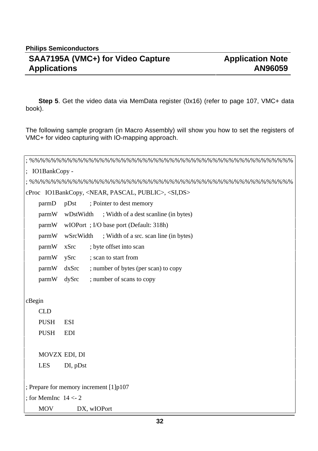**Step 5**. Get the video data via MemData register (0x16) (refer to page 107, VMC+ data book).

The following sample program (in Macro Assembly) will show you how to set the registers of VMC+ for video capturing with IO-mapping approach.

| $\therefore$ IO1BankCopy -                                               |  |  |  |  |
|--------------------------------------------------------------------------|--|--|--|--|
|                                                                          |  |  |  |  |
| cProc IO1BankCopy, <near, pascal,="" public="">, <si,ds></si,ds></near,> |  |  |  |  |
| ; Pointer to dest memory<br>parmD<br>pDst                                |  |  |  |  |
| parmW<br>; Width of a dest scanline (in bytes)<br>wDstWidth              |  |  |  |  |
| parmW<br>wIOPort; I/O base port (Default: 318h)                          |  |  |  |  |
| parmW<br>; Width of a src. scan line (in bytes)<br>wSrcWidth             |  |  |  |  |
| parmW<br>xSrc<br>; byte offset into scan                                 |  |  |  |  |
| ; scan to start from<br>ySrc<br>parmW                                    |  |  |  |  |
| dxSrc<br>; number of bytes (per scan) to copy<br>parmW                   |  |  |  |  |
| parmW<br>dySrc<br>; number of scans to copy                              |  |  |  |  |
|                                                                          |  |  |  |  |
| cBegin                                                                   |  |  |  |  |
| <b>CLD</b>                                                               |  |  |  |  |
| <b>PUSH</b><br><b>ESI</b>                                                |  |  |  |  |
| <b>PUSH</b><br><b>EDI</b>                                                |  |  |  |  |
|                                                                          |  |  |  |  |
| MOVZX EDI, DI                                                            |  |  |  |  |
| <b>LES</b><br>DI, pDst                                                   |  |  |  |  |
|                                                                          |  |  |  |  |
| ; Prepare for memory increment [1]p107                                   |  |  |  |  |
| ; for MemInc $14 < -2$                                                   |  |  |  |  |
| <b>MOV</b><br>DX, wIOPort                                                |  |  |  |  |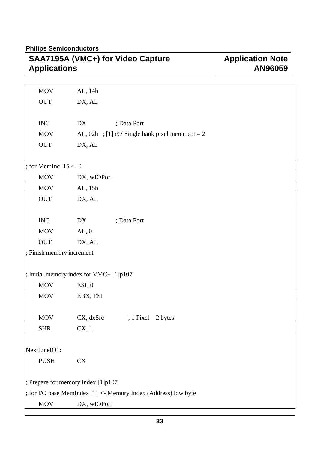# **Application Note AN96059**

| <b>MOV</b>                                                    | AL, 14h                                             |  |  |  |  |
|---------------------------------------------------------------|-----------------------------------------------------|--|--|--|--|
| $\rm OUT$                                                     | DX, AL                                              |  |  |  |  |
|                                                               |                                                     |  |  |  |  |
| <b>INC</b>                                                    | DX<br>; Data Port                                   |  |  |  |  |
| <b>MOV</b>                                                    | AL, 02h ; [1] $p97$ Single bank pixel increment = 2 |  |  |  |  |
| $\ensuremath{\mathrm{OUT}}\xspace$                            | DX, AL                                              |  |  |  |  |
|                                                               |                                                     |  |  |  |  |
| ; for MemInc $15 < -0$                                        |                                                     |  |  |  |  |
| <b>MOV</b>                                                    | DX, wIOPort                                         |  |  |  |  |
| <b>MOV</b>                                                    | AL, 15h                                             |  |  |  |  |
| $\rm OUT$                                                     | DX, AL                                              |  |  |  |  |
|                                                               |                                                     |  |  |  |  |
| $\rm{INC}$                                                    | ; Data Port<br>DX                                   |  |  |  |  |
| <b>MOV</b>                                                    | AL, 0                                               |  |  |  |  |
| $\rm OUT$                                                     | DX, AL                                              |  |  |  |  |
| ; Finish memory increment                                     |                                                     |  |  |  |  |
|                                                               |                                                     |  |  |  |  |
|                                                               | ; Initial memory index for VMC+ [1]p107             |  |  |  |  |
| <b>MOV</b>                                                    | ESI, 0                                              |  |  |  |  |
| <b>MOV</b>                                                    | EBX, ESI                                            |  |  |  |  |
|                                                               |                                                     |  |  |  |  |
| MOV                                                           | CX, dxSrc<br>; $1$ Pixel = $2$ bytes                |  |  |  |  |
| <b>SHR</b>                                                    | CX, 1                                               |  |  |  |  |
|                                                               |                                                     |  |  |  |  |
|                                                               | NextLineIO1:                                        |  |  |  |  |
| <b>PUSH</b>                                                   | <b>CX</b>                                           |  |  |  |  |
|                                                               |                                                     |  |  |  |  |
| ; Prepare for memory index [1]p107                            |                                                     |  |  |  |  |
| ; for I/O base MemIndex 11 <- Memory Index (Address) low byte |                                                     |  |  |  |  |
| <b>MOV</b>                                                    | DX, wIOPort                                         |  |  |  |  |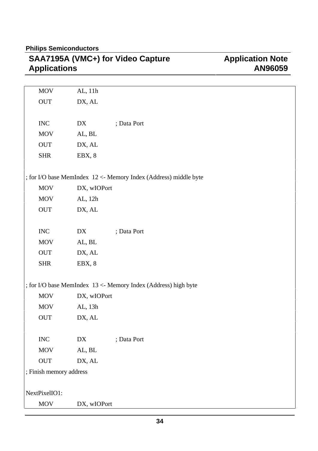| <b>Application Note</b> |
|-------------------------|
| AN96059                 |
|                         |

| <b>MOV</b>                         | AL, 11h     |                                                                  |
|------------------------------------|-------------|------------------------------------------------------------------|
| $\ensuremath{\mathrm{OUT}}\xspace$ | DX, AL      |                                                                  |
|                                    |             |                                                                  |
| $\rm{INC}$                         | DX          | ; Data Port                                                      |
| MOV                                | AL, BL      |                                                                  |
| <b>OUT</b>                         | DX, AL      |                                                                  |
| <b>SHR</b>                         | EBX, 8      |                                                                  |
|                                    |             |                                                                  |
|                                    |             | ; for I/O base MemIndex 12 <- Memory Index (Address) middle byte |
| MOV                                | DX, wIOPort |                                                                  |
| <b>MOV</b>                         | AL, 12h     |                                                                  |
| <b>OUT</b>                         | DX, AL      |                                                                  |
|                                    |             |                                                                  |
| $\rm{INC}$                         | DX          | ; Data Port                                                      |
| <b>MOV</b>                         | AL, BL      |                                                                  |
| OUT                                | DX, AL      |                                                                  |
| <b>SHR</b>                         | EBX, 8      |                                                                  |
|                                    |             |                                                                  |
|                                    |             | ; for I/O base MemIndex 13 <- Memory Index (Address) high byte   |
| MOV                                | DX, wIOPort |                                                                  |
| <b>MOV</b>                         | AL, 13h     |                                                                  |
| <b>OUT</b>                         | DX, AL      |                                                                  |
|                                    |             |                                                                  |
| $\rm{INC}$                         | DX          | ; Data Port                                                      |
| <b>MOV</b>                         | AL, BL      |                                                                  |
| OUT                                | DX, AL      |                                                                  |
| ; Finish memory address            |             |                                                                  |
|                                    |             |                                                                  |
| NextPixelIO1:                      |             |                                                                  |
| MOV                                | DX, wIOPort |                                                                  |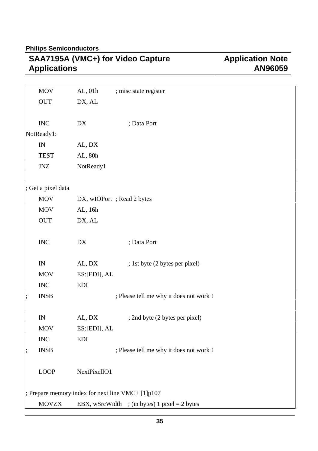| <b>MOV</b>                                        | AL, 01h          | ; misc state register                         |  |  |
|---------------------------------------------------|------------------|-----------------------------------------------|--|--|
| OUT                                               | DX, AL           |                                               |  |  |
|                                                   |                  |                                               |  |  |
| $\rm{INC}$                                        | DX               | ; Data Port                                   |  |  |
| NotReady1:                                        |                  |                                               |  |  |
| $\ensuremath{\text{IN}}$                          | AL, DX           |                                               |  |  |
| <b>TEST</b>                                       | AL, 80h          |                                               |  |  |
| $J\!N\!Z$                                         | NotReady1        |                                               |  |  |
|                                                   |                  |                                               |  |  |
| ; Get a pixel data                                |                  |                                               |  |  |
| <b>MOV</b>                                        |                  | DX, wIOPort; Read 2 bytes                     |  |  |
| <b>MOV</b>                                        | AL, 16h          |                                               |  |  |
| <b>OUT</b>                                        | DX, AL           |                                               |  |  |
|                                                   |                  |                                               |  |  |
| $\rm{INC}$                                        | ${\rm D}{\rm X}$ | ; Data Port                                   |  |  |
|                                                   |                  |                                               |  |  |
| $\ensuremath{\text{IN}}$                          | AL, DX           | ; 1st byte (2 bytes per pixel)                |  |  |
| <b>MOV</b>                                        | ES:[EDI], AL     |                                               |  |  |
| <b>INC</b>                                        | <b>EDI</b>       |                                               |  |  |
| <b>INSB</b>                                       |                  | ; Please tell me why it does not work !       |  |  |
|                                                   |                  |                                               |  |  |
| IN                                                | AL, DX           | ; 2nd byte (2 bytes per pixel)                |  |  |
| <b>MOV</b>                                        | ES:[EDI], AL     |                                               |  |  |
| <b>INC</b>                                        | <b>EDI</b>       |                                               |  |  |
| <b>INSB</b>                                       |                  | ; Please tell me why it does not work !       |  |  |
|                                                   |                  |                                               |  |  |
| <b>LOOP</b>                                       | NextPixelIO1     |                                               |  |  |
|                                                   |                  |                                               |  |  |
| ; Prepare memory index for next line VMC+ [1]p107 |                  |                                               |  |  |
| <b>MOVZX</b>                                      |                  | EBX, wSrcWidth ; (in bytes) 1 pixel = 2 bytes |  |  |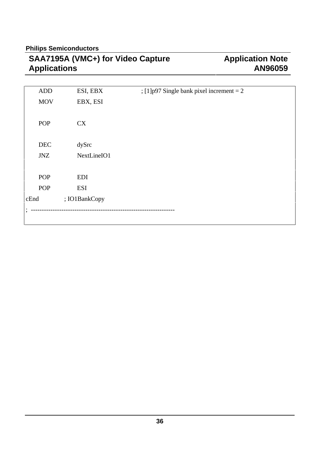# **Application Note AN96059**

| <b>ADD</b> | ESI, EBX      | ; [1] $p97$ Single bank pixel increment = 2 |
|------------|---------------|---------------------------------------------|
| <b>MOV</b> | EBX, ESI      |                                             |
|            |               |                                             |
| <b>POP</b> | <b>CX</b>     |                                             |
|            |               |                                             |
| <b>DEC</b> | dySrc         |                                             |
|            |               |                                             |
| <b>JNZ</b> | NextLineIO1   |                                             |
|            |               |                                             |
| <b>POP</b> | <b>EDI</b>    |                                             |
| <b>POP</b> | <b>ESI</b>    |                                             |
| cEnd       | ; IO1BankCopy |                                             |
| $\bullet$  |               |                                             |
|            |               |                                             |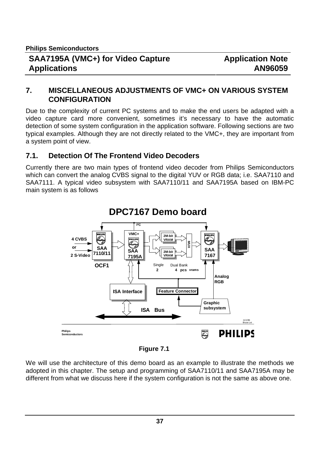#### **7. MISCELLANEOUS ADJUSTMENTS OF VMC+ ON VARIOUS SYSTEM CONFIGURATION**

Due to the complexity of current PC systems and to make the end users be adapted with a video capture card more convenient, sometimes it's necessary to have the automatic detection of some system configuration in the application software. Following sections are two typical examples. Although they are not directly related to the VMC+, they are important from a system point of view.

#### **7.1. Detection Of The Frontend Video Decoders**

Currently there are two main types of frontend video decoder from Philips Semiconductors which can convert the analog CVBS signal to the digital YUV or RGB data; i.e. SAA7110 and SAA7111. A typical video subsystem with SAA7110/11 and SAA7195A based on IBM-PC main system is as follows



# **DPC7167 Demo board**

 **Figure 7.1**

We will use the architecture of this demo board as an example to illustrate the methods we adopted in this chapter. The setup and programming of SAA7110/11 and SAA7195A may be different from what we discuss here if the system configuration is not the same as above one.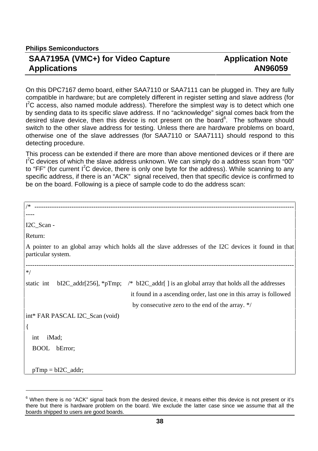$\overline{a}$ 

#### **SAA7195A (VMC+) for Video Capture Applications**

#### **Application Note AN96059**

On this DPC7167 demo board, either SAA7110 or SAA7111 can be plugged in. They are fully compatible in hardware; but are completely different in register setting and slave address (for  $I<sup>2</sup>C$  access, also named module address). Therefore the simplest way is to detect which one by sending data to its specific slave address. If no "acknowledge" signal comes back from the desired slave device, then this device is not present on the board<sup>6</sup>. The software should switch to the other slave address for testing. Unless there are hardware problems on board, otherwise one of the slave addresses (for SAA7110 or SAA7111) should respond to this detecting procedure.

This process can be extended if there are more than above mentioned devices or if there are  $I<sup>2</sup>C$  devices of which the slave address unknown. We can simply do a address scan from "00" to "FF" (for current  $I^2C$  device, there is only one byte for the address). While scanning to any specific address, if there is an "ACK" signal received, then that specific device is confirmed to be on the board. Following is a piece of sample code to do the address scan:

| $/$ *                                                                                                                      |  |  |  |
|----------------------------------------------------------------------------------------------------------------------------|--|--|--|
|                                                                                                                            |  |  |  |
| $IC_Scan -$                                                                                                                |  |  |  |
| Return:                                                                                                                    |  |  |  |
| A pointer to an global array which holds all the slave addresses of the I2C devices it found in that<br>particular system. |  |  |  |
| $*$                                                                                                                        |  |  |  |
| $bI2C\_addr[256], *pTmp;$ /* $bI2C\_addr[$ is an global array that holds all the addresses<br>static int                   |  |  |  |
| it found in a ascending order, last one in this array is followed                                                          |  |  |  |
| by consecutive zero to the end of the array. $*/$                                                                          |  |  |  |
| int* FAR PASCAL I2C_Scan (void)                                                                                            |  |  |  |
| $\{$                                                                                                                       |  |  |  |
| iMad;<br>int                                                                                                               |  |  |  |
| <b>BOOL</b><br>bError;                                                                                                     |  |  |  |
|                                                                                                                            |  |  |  |
| $pTmp = bI2C\_addr;$                                                                                                       |  |  |  |

 $6$  When there is no "ACK" signal back from the desired device, it means either this device is not present or it's there but there is hardware problem on the board. We exclude the latter case since we assume that all the boards shipped to users are good boards.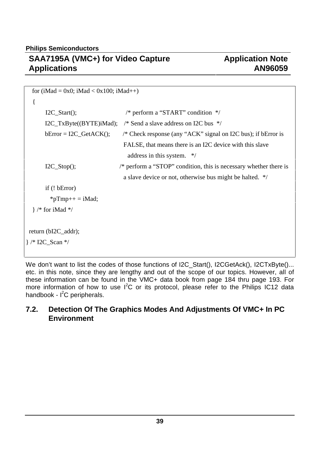| for (iMad = 0x0; iMad < 0x100; iMad++) |                                                                              |  |  |  |
|----------------------------------------|------------------------------------------------------------------------------|--|--|--|
| {                                      |                                                                              |  |  |  |
| $I2C_Stat();$                          | /* perform a "START" condition $*/$                                          |  |  |  |
| I2C_TxByte((BYTE)iMad);                | /* Send a slave address on I2C bus $\frac{*}{ }$                             |  |  |  |
| $bError = I2C_GetACK$ ;                | /* Check response (any "ACK" signal on I2C bus); if bError is                |  |  |  |
|                                        | FALSE, that means there is an I2C device with this slave                     |  |  |  |
|                                        | address in this system. $*/$                                                 |  |  |  |
| $I2C_Stop()$ ;                         | $\frac{*}{*}$ perform a "STOP" condition, this is necessary whether there is |  |  |  |
|                                        | a slave device or not, otherwise bus might be halted. */                     |  |  |  |
| if $($ ! bError $)$                    |                                                                              |  |  |  |
| $*pTmp++=iMad;$                        |                                                                              |  |  |  |
| $\}$ /* for iMad */                    |                                                                              |  |  |  |
|                                        |                                                                              |  |  |  |
| return (bI2C_addr);                    |                                                                              |  |  |  |
| $\}$ /* I2C_Scan */                    |                                                                              |  |  |  |
|                                        |                                                                              |  |  |  |

We don't want to list the codes of those functions of I2C\_Start(), I2CGetAck(), I2CTxByte()... etc. in this note, since they are lengthy and out of the scope of our topics. However, all of these information can be found in the VMC+ data book from page 184 thru page 193. For more information of how to use  $I^2C$  or its protocol, please refer to the Philips IC12 data handbook -  $I^2C$  peripherals.

#### **7.2. Detection Of The Graphics Modes And Adjustments Of VMC+ In PC Environment**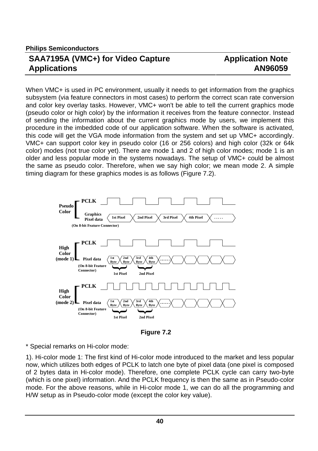# **Application Note AN96059**

When VMC+ is used in PC environment, usually it needs to get information from the graphics subsystem (via feature connectors in most cases) to perform the correct scan rate conversion and color key overlay tasks. However, VMC+ won't be able to tell the current graphics mode (pseudo color or high color) by the information it receives from the feature connector. Instead of sending the information about the current graphics mode by users, we implement this procedure in the imbedded code of our application software. When the software is activated, this code will get the VGA mode information from the system and set up VMC+ accordingly. VMC+ can support color key in pseudo color (16 or 256 colors) and high color (32k or 64k color) modes (not true color yet). There are mode 1 and 2 of high color modes; mode 1 is an older and less popular mode in the systems nowadays. The setup of VMC+ could be almost the same as pseudo color. Therefore, when we say high color; we mean mode 2. A simple timing diagram for these graphics modes is as follows (Figure 7.2).



 **Figure 7.2**

\* Special remarks on Hi-color mode:

1). Hi-color mode 1: The first kind of Hi-color mode introduced to the market and less popular now, which utilizes both edges of PCLK to latch one byte of pixel data (one pixel is composed of 2 bytes data in Hi-color mode). Therefore, one complete PCLK cycle can carry two-byte (which is one pixel) information. And the PCLK frequency is then the same as in Pseudo-color mode. For the above reasons, while in Hi-color mode 1, we can do all the programming and H/W setup as in Pseudo-color mode (except the color key value).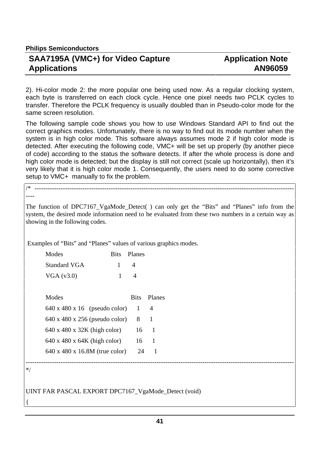**Philips Semiconductors**

#### **SAA7195A (VMC+) for Video Capture Applications**

## **Application Note AN96059**

2). Hi-color mode 2: the more popular one being used now. As a regular clocking system, each byte is transferred on each clock cycle. Hence one pixel needs two PCLK cycles to transfer. Therefore the PCLK frequency is usually doubled than in Pseudo-color mode for the same screen resolution.

The following sample code shows you how to use Windows Standard API to find out the correct graphics modes. Unfortunately, there is no way to find out its mode number when the system is in high color mode. This software always assumes mode 2 if high color mode is detected. After executing the following code, VMC+ will be set up properly (by another piece of code) according to the status the software detects. If after the whole process is done and high color mode is detected; but the display is still not correct (scale up horizontally), then it's very likely that it is high color mode 1. Consequently, the users need to do some corrective setup to VMC+ manually to fix the problem.

/\* ----------------------------------------------------------------------------------------------------------------------- ----

The function of DPC7167\_VgaMode\_Detect( ) can only get the "Bits" and "Planes" info from the system, the desired mode information need to be evaluated from these two numbers in a certain way as showing in the following codes.

Examples of "Bits" and "Planes" values of various graphics modes.

| Modes               | Bits Planes |
|---------------------|-------------|
| <b>Standard VGA</b> |             |
| VGA $(v3.0)$        | Δ           |

| Modes                                      | <b>Bits</b> | Planes |
|--------------------------------------------|-------------|--------|
| $640 \times 480 \times 16$ (pseudo color)  |             | 4      |
| $640 \times 480 \times 256$ (pseudo color) | 8           |        |
| 640 x 480 x 32K (high color)               | 16          |        |
| $640 \times 480 \times 64K$ (high color)   | 16          |        |
| 640 x 480 x 16.8M (true color)             | 24          |        |

\*/

{

UINT FAR PASCAL EXPORT DPC7167\_VgaMode\_Detect (void)

---------------------------------------------------------------------------------------------------------------------------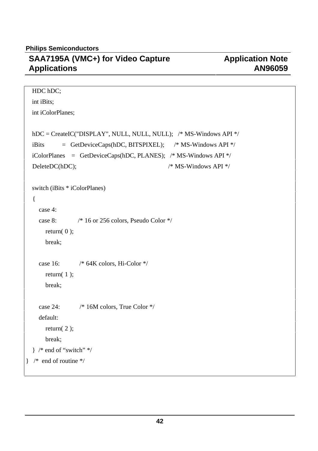```
 HDC hDC;
  int iBits;
  int iColorPlanes;
  hDC = CreateIC("DISPLAY", NULL, NULL, NULL); /* MS-Windows API */
  iBits = GetDeviceCaps(hDC, BITSPIXEL); /* MS-Windows API */
 iColorPlanes = GetDeviceCaps(hDC, PLANES); /* MS-Windows API */
   DeleteDC(hDC); /* MS-Windows API */
   switch (iBits * iColorPlanes)
   {
     case 4:
     case 8: /* 16 or 256 colors, Pseudo Color */
      return(0);
       break;
    case 16: \frac{\text{#}64K \text{ colors}}{\text{#}100K}, Hi-Color \frac{\text{#}}{\text{#}100K}return(1);
       break;
     case 24: /* 16M colors, True Color */
     default:
      return(2);
       break;
  \} /* end of "switch" */
} /* end of routine */
```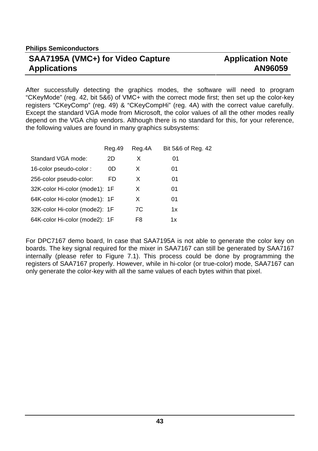## **Application Note AN96059**

After successfully detecting the graphics modes, the software will need to program "CKeyMode" (reg. 42, bit 5&6) of VMC+ with the correct mode first; then set up the color-key registers "CKeyComp" (reg. 49) & "CKeyCompHi" (reg. 4A) with the correct value carefully. Except the standard VGA mode from Microsoft, the color values of all the other modes really depend on the VGA chip vendors. Although there is no standard for this, for your reference, the following values are found in many graphics subsystems:

|                                | Reg.49 | Reg.4A | Bit 5&6 of Reg. 42 |
|--------------------------------|--------|--------|--------------------|
| Standard VGA mode:             | 2D     | X      | 01                 |
| 16-color pseudo-color:         | 0D     | X      | 01                 |
| 256-color pseudo-color:        | FD     | X      | 01                 |
| 32K-color Hi-color (mode1): 1F |        | X      | 01                 |
| 64K-color Hi-color (mode1): 1F |        | X      | 01                 |
| 32K-color Hi-color (mode2): 1F |        | 7C     | 1x                 |
| 64K-color Hi-color (mode2): 1F |        | F8     | 1x                 |

For DPC7167 demo board, In case that SAA7195A is not able to generate the color key on boards. The key signal required for the mixer in SAA7167 can still be generated by SAA7167 internally (please refer to Figure 7.1). This process could be done by programming the registers of SAA7167 properly. However, while in hi-color (or true-color) mode, SAA7167 can only generate the color-key with all the same values of each bytes within that pixel.